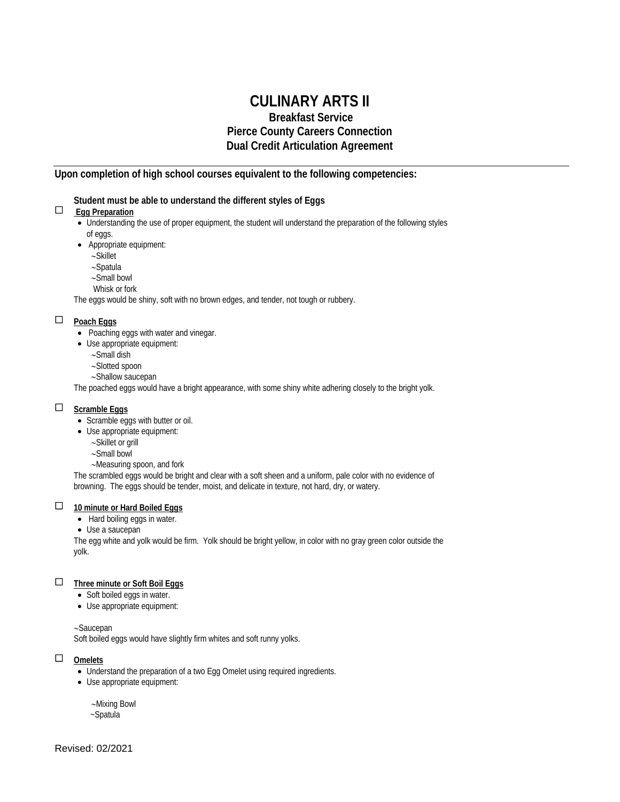# **CULINARY ARTS II**

# **Breakfast Service Pierce County Careers Connection Dual Credit Articulation Agreement**

## **Upon completion of high school courses equivalent to the following competencies:**

#### **Student must be able to understand the different styles of Eggs**

## **Egg Preparation**

- Understanding the use of proper equipment, the student will understand the preparation of the following styles of eggs.
- Appropriate equipment:
	- ∼Skillet
	- ∼Spatula
	- ∼Small bowl
	- Whisk or fork

The eggs would be shiny, soft with no brown edges, and tender, not tough or rubbery.

## **Poach Eggs**

- Poaching eggs with water and vinegar.
- Use appropriate equipment:
	- ∼Small dish
	- ∼Slotted spoon
	- ∼Shallow saucepan

The poached eggs would have a bright appearance, with some shiny white adhering closely to the bright yolk.

#### **Scramble Eggs**

- Scramble eggs with butter or oil.
- Use appropriate equipment:
	- ∼Skillet or grill
	- ∼Small bowl
	- ∼Measuring spoon, and fork

The scrambled eggs would be bright and clear with a soft sheen and a uniform, pale color with no evidence of browning. The eggs should be tender, moist, and delicate in texture, not hard, dry, or watery.

#### **10 minute or Hard Boiled Eggs**

- Hard boiling eggs in water.
- Use a saucepan

The egg white and yolk would be firm. Yolk should be bright yellow, in color with no gray green color outside the yolk.

#### **Three minute or Soft Boil Eggs**

- Soft boiled eggs in water.
- Use appropriate equipment:

#### ∼Saucepan

Soft boiled eggs would have slightly firm whites and soft runny yolks.

## **Omelets**

- Understand the preparation of a two Egg Omelet using required ingredients.
- Use appropriate equipment:
	- ∼Mixing Bowl
	- ~Spatula